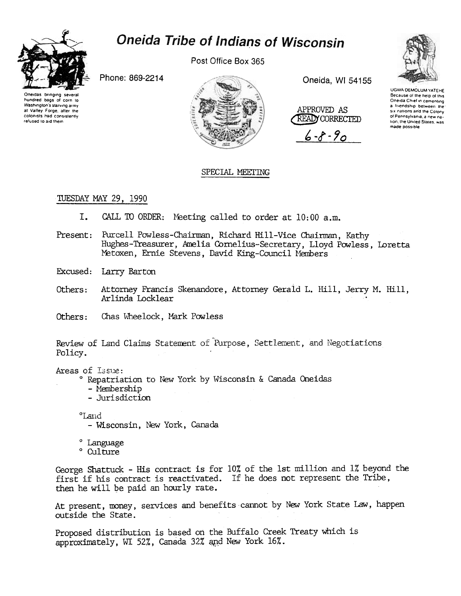

## **Oneida Tribe of Indians of Wisconsin**

Post Office Box 365

Phone: 869-2214

Oneidas bringing several hundred bags of corn to Washington's starving army at Valley Forge, after the colonists had consistently refused to aid them



Oneida, WI 54155

APPROVED AS **READY CORRECTED** 

 $6 - 8 - 90$ 



UGWA DEMOLUM YATEHE Because of the help of this Oneida Chief in cementing a friendship between the six nations and the Colony of Pennsylvania, a new nation, the United States, was made possible

## SPECIAL MEETING

## TUESDAY MAY 29, 1990

- L. CALL TO ORDER: Meeting called to order at 10:00 a.m.
- Present: Purcell Powless-Chairman, Richard Hill-Vice Chairman, Kathy Hughes-Treasurer, Amelia Cornelius-Secretary, Lloyd Powless, Loretta Metoxen, Ernie Stevens, David King-Council Members
- Excused: Larry Barton
- Others: Attorney Francis Skenandore, Attorney Gerald L. Hill, Jerry M. Hill, Arlinda Locklear
- Others: Chas Wheelock, Mark Powless

Review of Land Claims Statement of Purpose, Settlement, and Negotiations Policy.

Areas of Issue:

° Repatriation to New York by Wisconsin & Canada Oneidas

- Membership
- Jurisdiction

band

- Wisconsin, New York, Canada
- ° Language
- ° Culture

George Shattuck - His contract is for 10% of the 1st million and 1% beyond the first if his contract is reactivated. If he does not represent the Tribe, then he will be paid an hourly rate.

At present, money, services and benefits cannot by New York State Law, happen outside the State.

Proposed distribution is based on the Buffalo Creek Treaty which is approximately, WI 52%, Canada 32% and New York 16%.